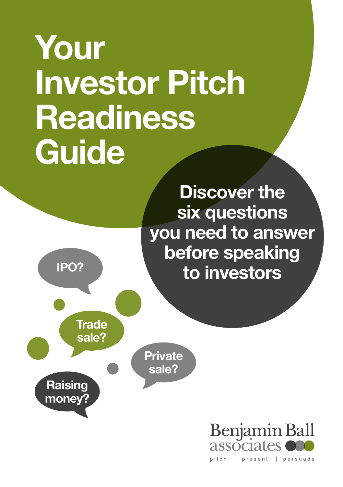# Your Investor Pitch **Readiness Guide**

**Discover the** six questions you need to answer before speaking to investors



**Raising** money?

**Trade** sale?

> **Private** sale?

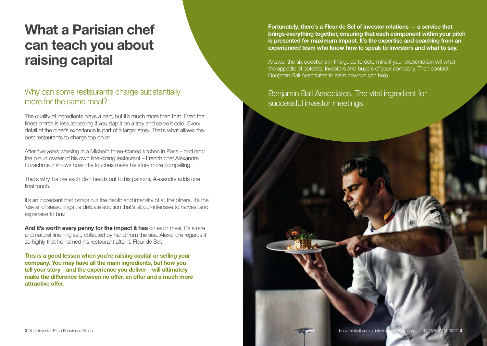# What a Parisian chef can teach you about raising capital

### Why can some restaurants charge substantially more for the same meal?

The quality of ingredients plays a part, but it's much more than that. Even the finest entrée is less appealing if you slap it on a tray and serve it cold. Every detail of the diner's experience is part of a larger story. That's what allows the best restaurants to charge top dollar.

After five years working in a Michelin three-starred kitchen in Paris – and now the proud owner of his own fine-dining restaurant – French chef Alexandre Lozachmeur knows how little touches make his story more compelling.

That's why, before each dish heads out to his patrons, Alexandre adds one final touch.

It's an ingredient that brings out the depth and intensity of all the others. It's the 'caviar of seasonings', a delicate addition that's labour-intensive to harvest and expensive to buy.

And it's worth every penny for the impact it has on each meal. It's a rare and natural finishing salt, collected by hand from the sea. Alexandre regards it so highly that he named his restaurant after it: Fleur de Sel.

This is a good lesson when you're raising capital or selling your company. You may have all the main ingredients, but how you tell your story – and the experience you deliver – will ultimately make the difference between no offer, an offer and a much more attractive offer.

Fortunately, there's a Fleur de Sel of investor relations — a service that brings everything together, ensuring that each component within your pitch is presented for maximum impact. It's the expertise and coaching from an experienced team who know how to speak to investors and what to say.

Answer the six questions in this guide to determine if your presentation will whet the appetite of potential investors and buyers of your company. Then contact Benjamin Ball Associates to learn how we can help.

### Benjamin Ball Associates. The vital ingredient for successful investor meetings.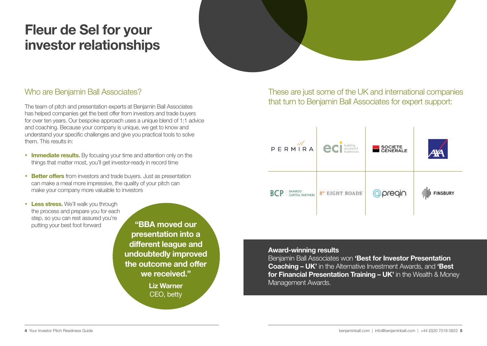# Fleur de Sel for your investor relationships

### Who are Benjamin Ball Associates?

The team of pitch and presentation experts at Benjamin Ball Associates has helped companies get the best offer from investors and trade buyers for over ten years. Our bespoke approach uses a unique blend of 1:1 advice and coaching. Because your company is unique, we get to know and understand your specific challenges and give you practical tools to solve them. This results in:

- **Immediate results.** By focusing your time and attention only on the things that matter most, you'll get investor-ready in record time
- Better offers from investors and trade buyers. Just as presentation can make a meal more impressive, the quality of your pitch can make your company more valuable to investors
- Less stress. We'll walk you through the process and prepare you for each step, so you can rest assured you're putting your best foot forward

"BBA moved our presentation into a different league and undoubtedly improved the outcome and offer we received."

> Liz Warner CEO, betty

These are just some of the UK and international companies that turn to Benjamin Ball Associates for expert support:



Award-winning results

**Benjamin Ball Associates won 'Best for Investor Presentation** Coaching – UK' in the Alternative Investment Awards, and 'Best for Financial Presentation Training - UK' in the Wealth & Money Management Awards.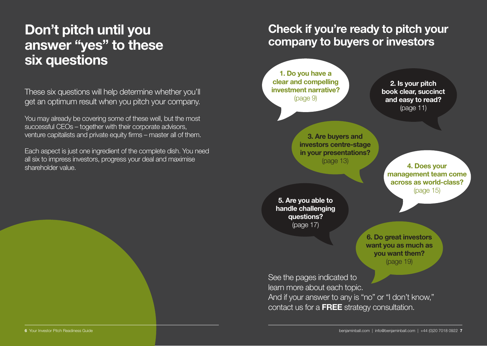### Don't pitch until you answer "yes" to these six questions

These six questions will help determine whether you'll get an optimum result when you pitch your company.

You may already be covering some of these well, but the most successful CEOs – together with their corporate advisors, venture capitalists and private equity firms – master all of them.

Each aspect is just one ingredient of the complete dish. You need all six to impress investors, progress your deal and maximise shareholder value.

### Check if you're ready to pitch your company to buyers or investors

1. Do you have a clear and compelling investment narrative? (page 9)

2. Is your pitch book clear, succinct and easy to read? (page 11)

3. Are buyers and investors centre-stage in your presentations? (page 13)

4. Does your management team come across as world-class? (page 15)

5. Are you able to handle challenging questions? (page 17)

> 6. Do great investors want you as much as you want them? (page 19)

See the pages indicated to learn more about each topic. And if your answer to any is "no" or "I don't know," contact us for a FREE strategy consultation.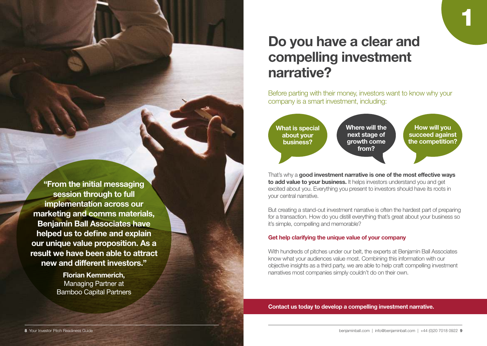### Do you have a clear and compelling investment narrative?

Before parting with their money, investors want to know why your company is a smart investment, including:

1



That's why a good investment narrative is one of the most effective ways to add value to your business. It helps investors understand you and get excited about you. Everything you present to investors should have its roots in your central narrative.

But creating a stand-out investment narrative is often the hardest part of preparing for a transaction. How do you distill everything that's great about your business so it's simple, compelling and memorable?

#### Get help clarifying the unique value of your company

With hundreds of pitches under our belt, the experts at Benjamin Ball Associates know what your audiences value most. Combining this information with our objective insights as a third party, we are able to help craft compelling investment narratives most companies simply couldn't do on their own.

Contact us today to develop a compelling investment narrative.

"From the initial messaging session through to full implementation across our marketing and comms materials, Benjamin Ball Associates have helped us to define and explain our unique value proposition. As a result we have been able to attract new and different investors."

> Florian Kemmerich, Managing Partner at Bamboo Capital Partners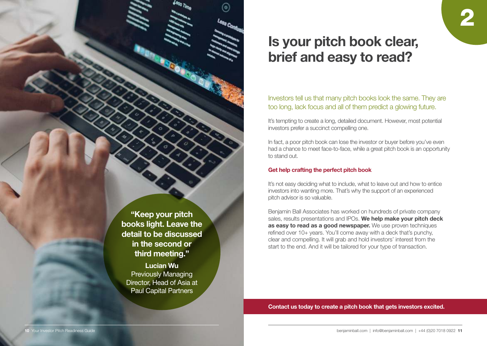"Keep your pitch books light. Leave the detail to be discussed in the second or third meeting."

ெ

Lucian Wu Previously Managing Director, Head of Asia at Paul Capital Partners

# Is your pitch book clear, brief and easy to read?

#### Investors tell us that many pitch books look the same. They are too long, lack focus and all of them predict a glowing future.

2

It's tempting to create a long, detailed document. However, most potential investors prefer a succinct compelling one.

In fact, a poor pitch book can lose the investor or buyer before you've even had a chance to meet face-to-face, while a great pitch book is an opportunity to stand out.

#### Get help crafting the perfect pitch book

It's not easy deciding what to include, what to leave out and how to entice investors into wanting more. That's why the support of an experienced pitch advisor is so valuable.

Benjamin Ball Associates has worked on hundreds of private company sales, results presentations and IPOs. We help make your pitch deck as easy to read as a good newspaper. We use proven techniques refined over 10+ years. You'll come away with a deck that's punchy, clear and compelling. It will grab and hold investors' interest from the start to the end. And it will be tailored for your type of transaction.

Contact us today to create a pitch book that gets investors excited.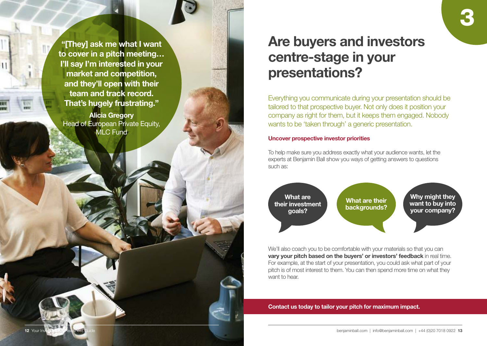"[They] ask me what I want to cover in a pitch meeting… I'll say I'm interested in your market and competition, and they'll open with their team and track record. That's hugely frustrating."

Alicia Gregory Head of European Private Equity, MLC Fund

12 Your I

# Are buyers and investors centre-stage in your presentations?

Everything you communicate during your presentation should be tailored to that prospective buyer. Not only does it position your company as right for them, but it keeps them engaged. Nobody wants to be 'taken through' a generic presentation.

#### Uncover prospective investor priorities

To help make sure you address exactly what your audience wants, let the experts at Benjamin Ball show you ways of getting answers to questions such as:



We'll also coach you to be comfortable with your materials so that you can vary your pitch based on the buyers' or investors' feedback in real time. For example, at the start of your presentation, you could ask what part of your pitch is of most interest to them. You can then spend more time on what they want to hear.

Contact us today to tailor your pitch for maximum impact.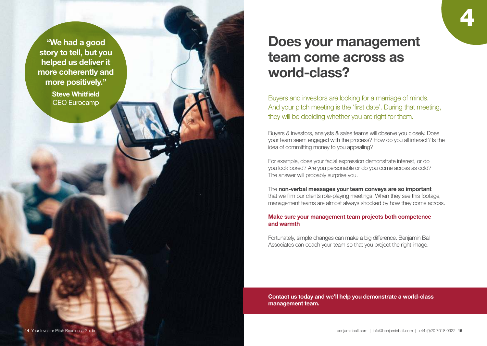"We had a good story to tell, but you helped us deliver it more coherently and more positively."

> Steve Whitfield CEO Eurocamp

### Does your management team come across as world-class?

4

Buyers and investors are looking for a marriage of minds. And your pitch meeting is the 'first date'. During that meeting, they will be deciding whether you are right for them.

Buyers & investors, analysts & sales teams will observe you closely. Does your team seem engaged with the process? How do you all interact? Is the idea of committing money to you appealing?

For example, does your facial expression demonstrate interest, or do you look bored? Are you personable or do you come across as cold? The answer will probably surprise you.

#### The non-verbal messages your team conveys are so important

that we film our clients role-playing meetings. When they see this footage, management teams are almost always shocked by how they come across.

#### Make sure your management team projects both competence and warmth

Fortunately, simple changes can make a big difference. Benjamin Ball Associates can coach your team so that you project the right image.

Contact us today and we'll help you demonstrate a world-class management team.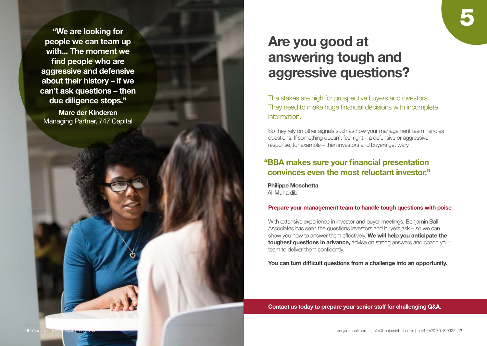"We are looking for people we can team up with... The moment we find people who are aggressive and defensive about their history – if we can't ask questions – then due diligence stops."

Marc der Kinderen Managing Partner, 747 Capital

# Are you good at answering tough and aggressive questions?

The stakes are high for prospective buyers and investors. They need to make huge financial decisions with incomplete information.

So they rely on other signals such as how your management team handles questions. If something doesn't feel right – a defensive or aggressive response, for example – then investors and buyers get wary.

#### " BBA makes sure your financial presentation convinces even the most reluctant investor."

Philippe Moschetta Al-Muhaidib

#### Prepare your management team to handle tough questions with poise

With extensive experience in investor and buyer meetings, Benjamin Ball Associates has seen the questions investors and buyers ask – so we can show you how to answer them effectively. We will help you anticipate the toughest questions in advance, advise on strong answers and coach your team to deliver them confidently.

You can turn difficult questions from a challenge into an opportunity.

Contact us today to prepare your senior staff for challenging Q&A.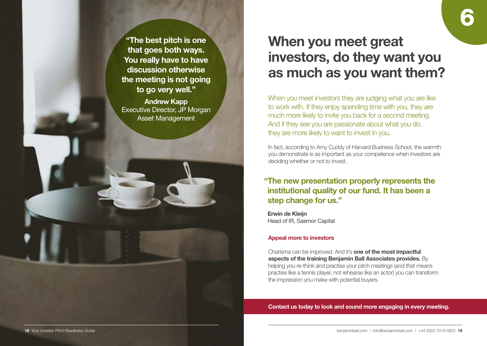"The best pitch is one that goes both ways. You really have to have discussion otherwise the meeting is not going to go very well."

Andrew Kapp Executive Director, JP Morgan Asset Management

# When you meet great investors, do they want you as much as you want them?

When you meet investors they are judging what you are like to work with. If they enjoy spending time with you, they are much more likely to invite you back for a second meeting. And if they see you are passionate about what you do, they are more likely to want to invest in you.

In fact, according to Amy Cuddy of Harvard Business School, the warmth you demonstrate is as important as your competence when investors are deciding whether or not to invest.

### " The new presentation properly represents the institutional quality of our fund. It has been a step change for us."

Erwin de Kleijn Head of IR, Saemor Capital

#### Appeal more to investors

Charisma can be improved. And it's one of the most impactful aspects of the training Benjamin Ball Associates provides. By helping you re-think and practise your pitch meetings (and that means practise like a tennis player, not rehearse like an actor) you can transform the impression you make with potential buyers.

Contact us today to look and sound more engaging in every meeting.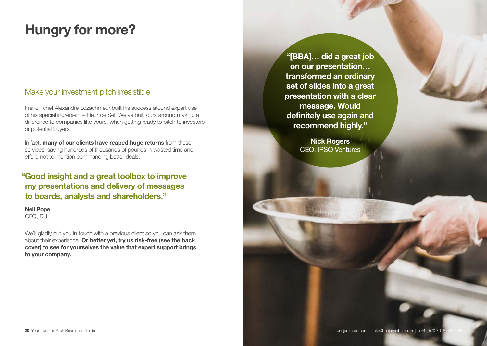# Hungry for more?

### Make your investment pitch irresistible

French chef Alexandre Lozachmeur built his success around expert use of his special ingredient – Fleur de Sel. We've built ours around making a difference to companies like yours, when getting ready to pitch to investors or potential buyers.

In fact, many of our clients have reaped huge returns from these services, saving hundreds of thousands of pounds in wasted time and effort, not to mention commanding better deals.

### " Good insight and a great toolbox to improve my presentations and delivery of messages to boards, analysts and shareholders."

Neil Pope CFO, DU

We'll gladly put you in touch with a previous client so you can ask them about their experience. Or better yet, try us risk-free (see the back cover) to see for yourselves the value that expert support brings to your company.

"[BBA]… did a great job on our presentation… transformed an ordinary set of slides into a great presentation with a clear message. Would definitely use again and recommend highly."

> Nick Rogers CEO, IPSO Ventures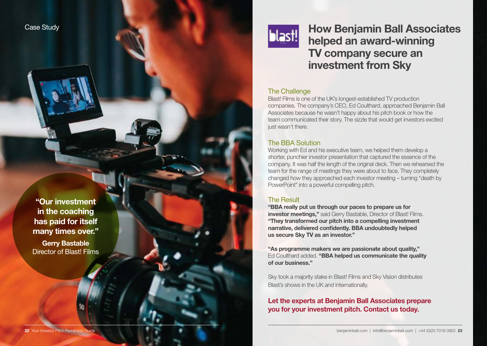

### How Benjamin Ball Associates helped an award-winning TV company secure an investment from Sky

#### The Challenge

Blast! Films is one of the UK's longest-established TV production companies. The company's CEO, Ed Coulthard, approached Benjamin Ball Associates because he wasn't happy about his pitch book or how the team communicated their story. The sizzle that would get investors excited just wasn't there.

#### The BBA Solution

Working with Ed and his executive team, we helped them develop a shorter, punchier investor presentation that captured the essence of the company. It was half the length of the original deck. Then we rehearsed the team for the range of meetings they were about to face. They completely changed how they approached each investor meeting – turning "death by PowerPoint" into a powerful compelling pitch.

#### The Result

"BBA really put us through our paces to prepare us for **investor meetings."** said Gerry Bastable, Director of Blast! Films. "They transformed our pitch into a compelling investment narrative, delivered confidently. BBA undoubtedly helped us secure Sky TV as an investor."

"As programme makers we are passionate about quality," Ed Coulthard added. "BBA helped us communicate the quality of our business."

Sky took a majority stake in Blast! Films and Sky Vision distributes Blast's shows in the UK and internationally.

Let the experts at Benjamin Ball Associates prepare you for your investment pitch. Contact us today.

"Our investment in the coaching has paid for itself many times over."

Case Study

Gerry Bastable Director of Blast! Films